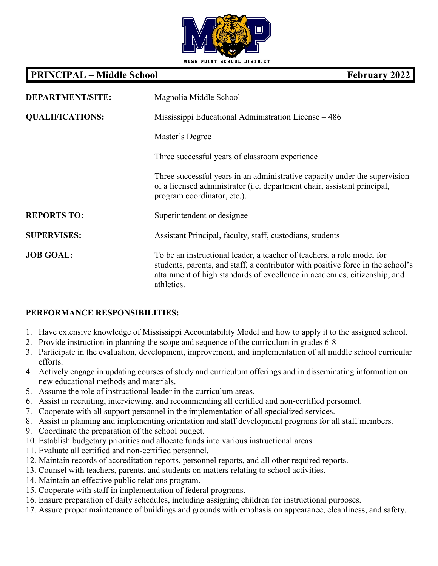

## **PRINCIPAL – Middle School February 2022**

| <b>DEPARTMENT/SITE:</b> | Magnolia Middle School                                                                                                                                                                                                                               |
|-------------------------|------------------------------------------------------------------------------------------------------------------------------------------------------------------------------------------------------------------------------------------------------|
| <b>QUALIFICATIONS:</b>  | Mississippi Educational Administration License – 486                                                                                                                                                                                                 |
|                         | Master's Degree                                                                                                                                                                                                                                      |
|                         | Three successful years of classroom experience                                                                                                                                                                                                       |
|                         | Three successful years in an administrative capacity under the supervision<br>of a licensed administrator (i.e. department chair, assistant principal,<br>program coordinator, etc.).                                                                |
| <b>REPORTS TO:</b>      | Superintendent or designee                                                                                                                                                                                                                           |
| <b>SUPERVISES:</b>      | Assistant Principal, faculty, staff, custodians, students                                                                                                                                                                                            |
| <b>JOB GOAL:</b>        | To be an instructional leader, a teacher of teachers, a role model for<br>students, parents, and staff, a contributor with positive force in the school's<br>attainment of high standards of excellence in academics, citizenship, and<br>athletics. |

## **PERFORMANCE RESPONSIBILITIES:**

- 1. Have extensive knowledge of Mississippi Accountability Model and how to apply it to the assigned school.
- 2. Provide instruction in planning the scope and sequence of the curriculum in grades 6-8
- 3. Participate in the evaluation, development, improvement, and implementation of all middle school curricular efforts.
- 4. Actively engage in updating courses of study and curriculum offerings and in disseminating information on new educational methods and materials.
- 5. Assume the role of instructional leader in the curriculum areas.
- 6. Assist in recruiting, interviewing, and recommending all certified and non-certified personnel.
- 7. Cooperate with all support personnel in the implementation of all specialized services.
- 8. Assist in planning and implementing orientation and staff development programs for all staff members.
- 9. Coordinate the preparation of the school budget.
- 10. Establish budgetary priorities and allocate funds into various instructional areas.
- 11. Evaluate all certified and non-certified personnel.
- 12. Maintain records of accreditation reports, personnel reports, and all other required reports.
- 13. Counsel with teachers, parents, and students on matters relating to school activities.
- 14. Maintain an effective public relations program.
- 15. Cooperate with staff in implementation of federal programs.
- 16. Ensure preparation of daily schedules, including assigning children for instructional purposes.
- 17. Assure proper maintenance of buildings and grounds with emphasis on appearance, cleanliness, and safety.